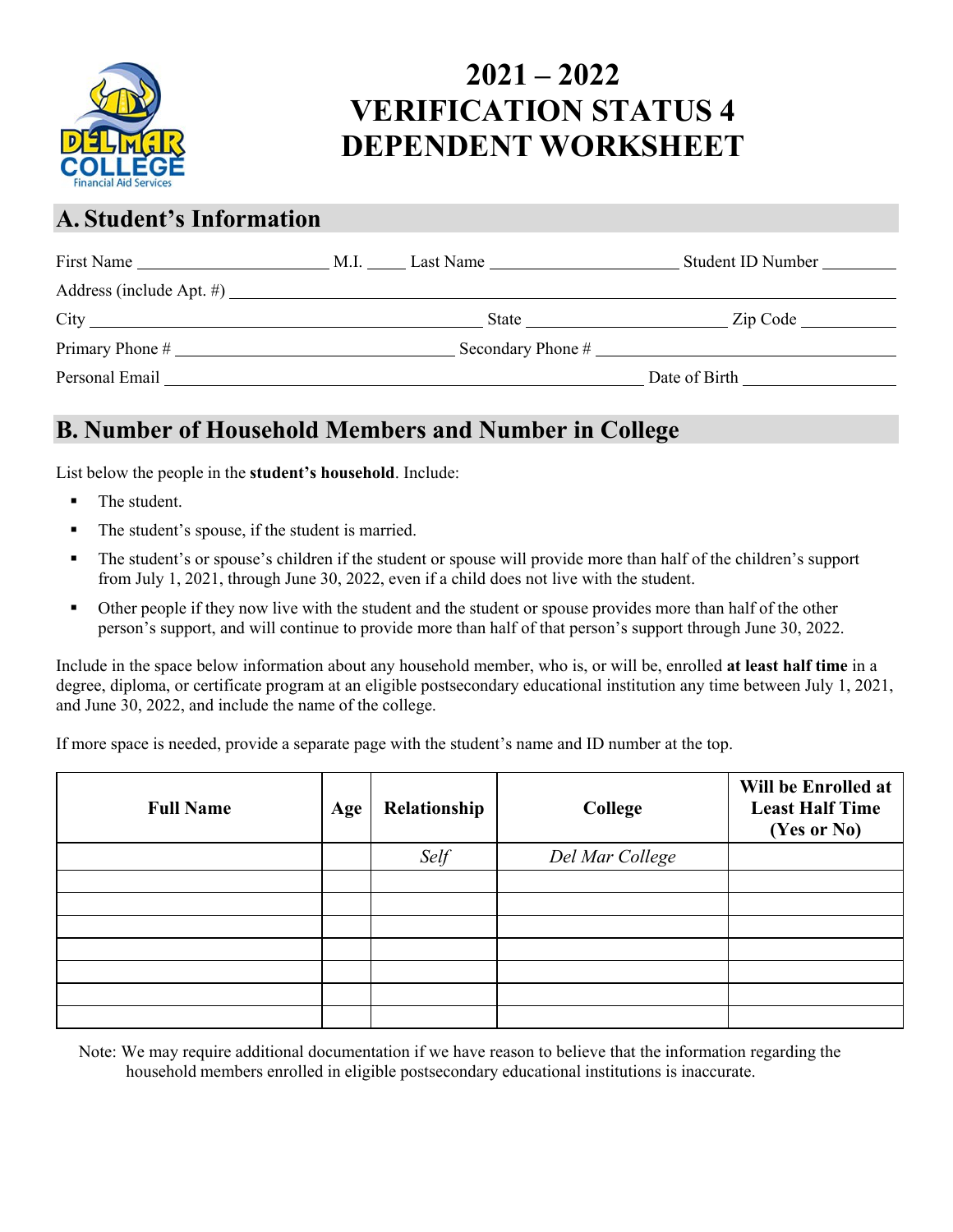

## **2021 – 2022 VERIFICATION STATUS 4 DEPENDENT WORKSHEET**

#### **A. Student's Information**

| First Name               | Last Name<br>M.I. | Student ID Number |
|--------------------------|-------------------|-------------------|
| Address (include Apt. #) |                   |                   |
|                          | State             | Zip Code          |
| Primary Phone #          | Secondary Phone # |                   |
| Personal Email           |                   | Date of Birth     |

### **B. Number of Household Members and Number in College**

List below the people in the **student's household**. Include:

- The student.
- The student's spouse, if the student is married.
- The student's or spouse's children if the student or spouse will provide more than half of the children's support from July 1, 2021, through June 30, 2022, even if a child does not live with the student.
- Other people if they now live with the student and the student or spouse provides more than half of the other person's support, and will continue to provide more than half of that person's support through June 30, 2022.

Include in the space below information about any household member, who is, or will be, enrolled **at least half time** in a degree, diploma, or certificate program at an eligible postsecondary educational institution any time between July 1, 2021, and June 30, 2022, and include the name of the college.

If more space is needed, provide a separate page with the student's name and ID number at the top.

| <b>Full Name</b> | Age | Relationship | College         | Will be Enrolled at<br><b>Least Half Time</b><br>(Yes or No) |
|------------------|-----|--------------|-----------------|--------------------------------------------------------------|
|                  |     | Self         | Del Mar College |                                                              |
|                  |     |              |                 |                                                              |
|                  |     |              |                 |                                                              |
|                  |     |              |                 |                                                              |
|                  |     |              |                 |                                                              |
|                  |     |              |                 |                                                              |
|                  |     |              |                 |                                                              |
|                  |     |              |                 |                                                              |

Note: We may require additional documentation if we have reason to believe that the information regarding the household members enrolled in eligible postsecondary educational institutions is inaccurate.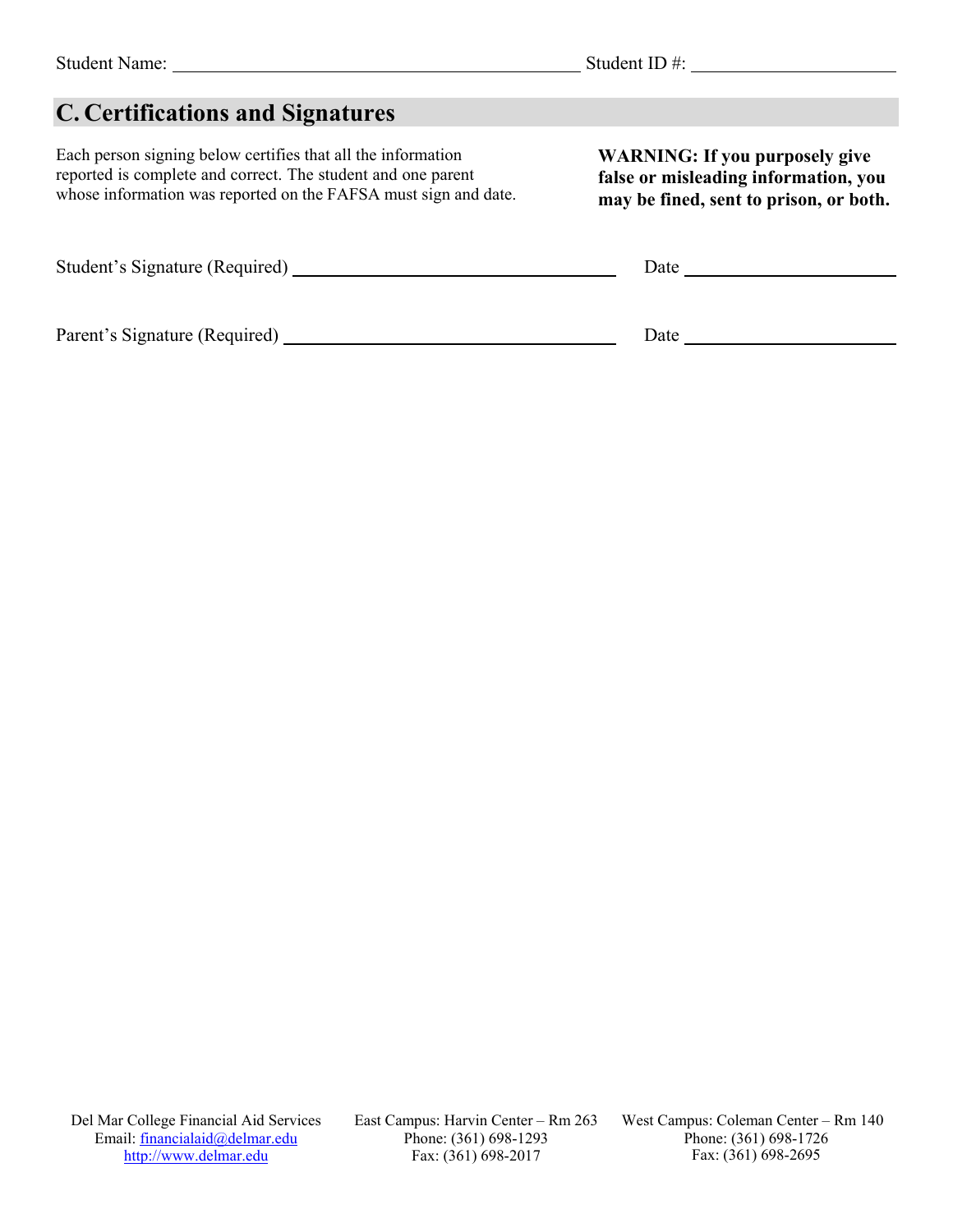## **C. Certifications and Signatures**

Each person signing below certifies that all the information reported is complete and correct. The student and one parent whose information was reported on the FAFSA must sign and date.

Student's Signature (Required) Date

Parent's Signature (Required) Date

**WARNING: If you purposely give false or misleading information, you may be fined, sent to prison, or both.**

Del Mar College Financial Aid Services Email: financialaid@delmar.edu [http://www.delmar.edu](http://www.delmar.edu/)

East Campus: Harvin Center – Rm 263 Phone: (361) 698-1293 Fax: (361) 698-2017

West Campus: Coleman Center – Rm 140 Phone: (361) 698-1726 Fax: (361) 698-2695